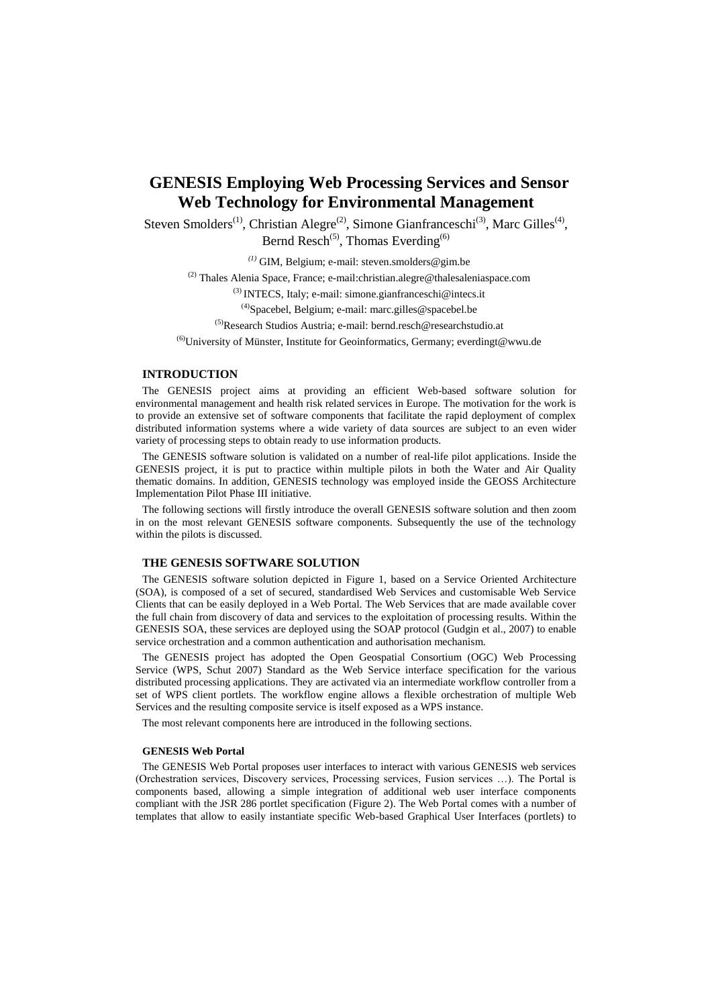# **GENESIS Employing Web Processing Services and Sensor Web Technology for Environmental Management**

Steven Smolders<sup>(1)</sup>, Christian Alegre<sup>(2)</sup>, Simone Gianfranceschi<sup>(3)</sup>, Marc Gilles<sup>(4)</sup>, Bernd Resch<sup>(5)</sup>, Thomas Everding<sup>(6)</sup>

*(1)* GIM, Belgium; e-mail: steven.smolders@gim.be

(2) Thales Alenia Space, France; e-mail:christian.alegre@thalesaleniaspace.com

(3) INTECS, Italy; e-mail[: simone.gianfranceschi@intecs.it](mailto:simone.gianfranceschi@intecs.it)

 $^{(4)}$ Spacebel, Belgium; e-mail: marc.gilles@spacebel.be

(5)Research Studios Austria; e-mail: bernd.resch@researchstudio.at

 $^{(6)}$ University of Münster, Institute for Geoinformatics, Germany; everdingt@wwu.de

# **INTRODUCTION**

The GENESIS project aims at providing an efficient Web-based software solution for environmental management and health risk related services in Europe. The motivation for the work is to provide an extensive set of software components that facilitate the rapid deployment of complex distributed information systems where a wide variety of data sources are subject to an even wider variety of processing steps to obtain ready to use information products.

The GENESIS software solution is validated on a number of real-life pilot applications. Inside the GENESIS project, it is put to practice within multiple pilots in both the Water and Air Quality thematic domains. In addition, GENESIS technology was employed inside the GEOSS Architecture Implementation Pilot Phase III initiative.

The following sections will firstly introduce the overall GENESIS software solution and then zoom in on the most relevant GENESIS software components. Subsequently the use of the technology within the pilots is discussed.

#### **THE GENESIS SOFTWARE SOLUTION**

The GENESIS software solution depicted in Figure 1, based on a Service Oriented Architecture (SOA), is composed of a set of secured, standardised Web Services and customisable Web Service Clients that can be easily deployed in a Web Portal. The Web Services that are made available cover the full chain from discovery of data and services to the exploitation of processing results. Within the GENESIS SOA, these services are deployed using the SOAP protocol (Gudgin et al., 2007) to enable service orchestration and a common authentication and authorisation mechanism.

The GENESIS project has adopted the Open Geospatial Consortium (OGC) Web Processing Service (WPS, Schut 2007) Standard as the Web Service interface specification for the various distributed processing applications. They are activated via an intermediate workflow controller from a set of WPS client portlets. The workflow engine allows a flexible orchestration of multiple Web Services and the resulting composite service is itself exposed as a WPS instance.

The most relevant components here are introduced in the following sections.

## **GENESIS Web Portal**

The GENESIS Web Portal proposes user interfaces to interact with various GENESIS web services (Orchestration services, Discovery services, Processing services, Fusion services …). The Portal is components based, allowing a simple integration of additional web user interface components compliant with the JSR 286 portlet specification [\(Figure 2\)](#page-2-0). The Web Portal comes with a number of templates that allow to easily instantiate specific Web-based Graphical User Interfaces (portlets) to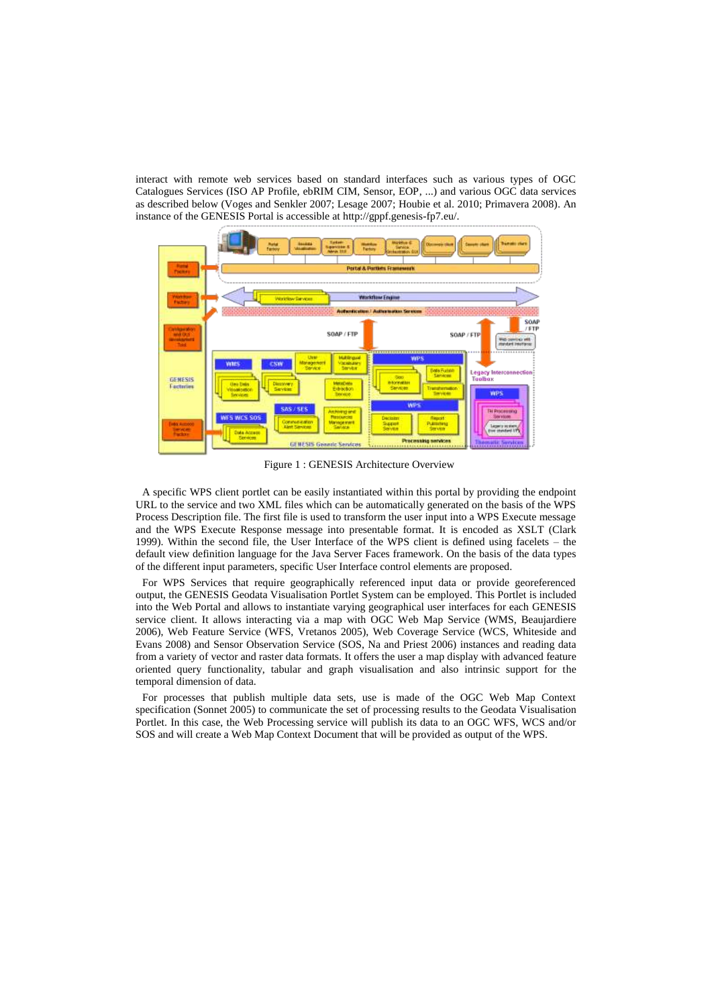interact with remote web services based on standard interfaces such as various types of OGC Catalogues Services (ISO AP Profile, ebRIM CIM, Sensor, EOP, ...) and various OGC data services as described below (Voges and Senkler 2007; Lesage 2007; Houbie et al. 2010; Primavera 2008). An instance of the GENESIS Portal is accessible at http://gppf.genesis-fp7.eu/.



Figure 1 : GENESIS Architecture Overview

A specific WPS client portlet can be easily instantiated within this portal by providing the endpoint URL to the service and two XML files which can be automatically generated on the basis of the WPS Process Description file. The first file is used to transform the user input into a WPS Execute message and the WPS Execute Response message into presentable format. It is encoded as XSLT (Clark 1999). Within the second file, the User Interface of the WPS client is defined using facelets – the default view definition language for the Java Server Faces framework. On the basis of the data types of the different input parameters, specific User Interface control elements are proposed.

For WPS Services that require geographically referenced input data or provide georeferenced output, the GENESIS Geodata Visualisation Portlet System can be employed. This Portlet is included into the Web Portal and allows to instantiate varying geographical user interfaces for each GENESIS service client. It allows interacting via a map with OGC Web Map Service (WMS, Beaujardiere 2006), Web Feature Service (WFS, Vretanos 2005), Web Coverage Service (WCS, Whiteside and Evans 2008) and Sensor Observation Service (SOS, Na and Priest 2006) instances and reading data from a variety of vector and raster data formats. It offers the user a map display with advanced feature oriented query functionality, tabular and graph visualisation and also intrinsic support for the temporal dimension of data.

For processes that publish multiple data sets, use is made of the OGC Web Map Context specification (Sonnet 2005) to communicate the set of processing results to the Geodata Visualisation Portlet. In this case, the Web Processing service will publish its data to an OGC WFS, WCS and/or SOS and will create a Web Map Context Document that will be provided as output of the WPS.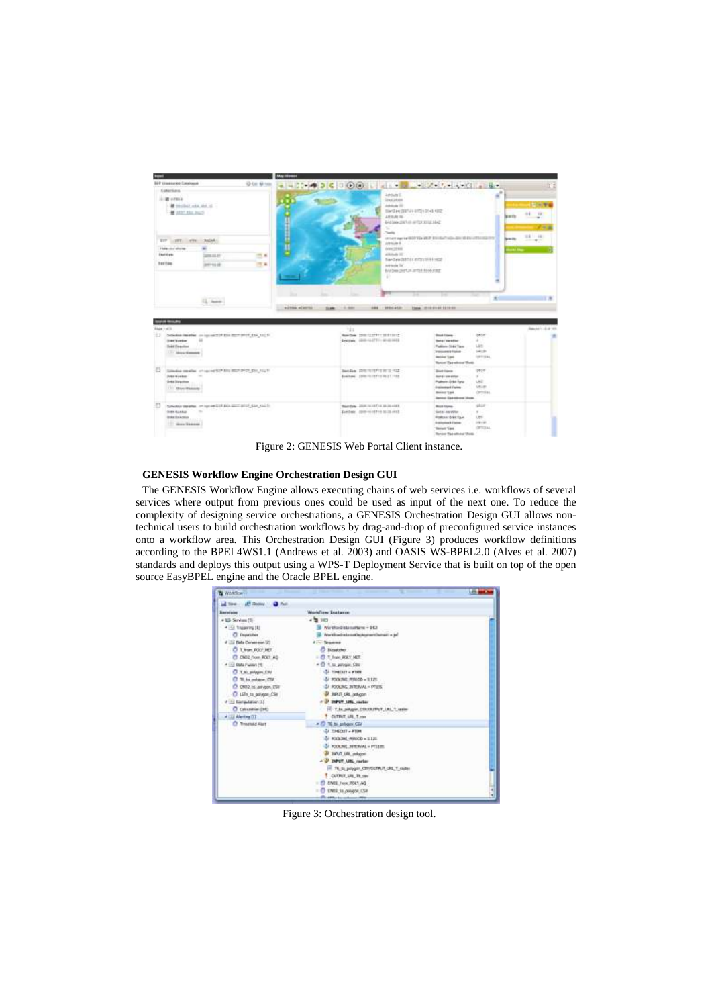| <b>COMPA</b>                                                                                     | <b>May 19 years</b> |                                   |                                                                          |                                                                                             |                                         |
|--------------------------------------------------------------------------------------------------|---------------------|-----------------------------------|--------------------------------------------------------------------------|---------------------------------------------------------------------------------------------|-----------------------------------------|
| EGP EX-assurance-Construçost                                                                     | O bit sil nos       |                                   |                                                                          | $-42099926400014454242454446126$                                                            | It's                                    |
| Eddied Scott                                                                                     |                     |                                   | <b>Johnson E.</b>                                                        |                                                                                             | s,                                      |
|                                                                                                  |                     |                                   | Linux Johann                                                             |                                                                                             | 170 WW                                  |
| at model and she is.<br><b>M</b> 1027 Sto. Inc.                                                  |                     |                                   | Additional Ed.<br>BM DH BEALING COLLECT                                  |                                                                                             |                                         |
|                                                                                                  |                     |                                   | <b>Amhuer 14</b><br>Seld Date shift all century as lot also              |                                                                                             | $0.1 - 10$<br><b>MAYY'S</b><br>$-2 - 4$ |
| TIT STT.<br><b>MONA</b><br><b>AFRICA</b>                                                         |                     |                                   | Turbit<br>JUSTICIAN 1                                                    | <b>Production and</b><br>more particle (\$2015), 282 \$100,000 (\$60,000 \$\$80,075152,000) | 日本 七 38<br><b>Brasilio</b><br>$-$       |
| <b>Flake</b> door shores                                                                         |                     |                                   | dying 22 Kill                                                            |                                                                                             | <b>COLLEGE</b>                          |
| <b>Exclusive</b><br>14,032,000                                                                   | $-14$               |                                   | ATRONAULT ET<br>Barchen 2121 41 Editorial History                        |                                                                                             |                                         |
| <b>Best Video</b><br>2012/05/05                                                                  | 改革                  |                                   | Artrigale Tal.                                                           |                                                                                             |                                         |
|                                                                                                  |                     |                                   |                                                                          |                                                                                             |                                         |
| U. Same                                                                                          |                     | <b>NOTEN ADMINI</b><br>SHA 10.000 | <b>DRI 27014521 1266 271111011111111</b>                                 |                                                                                             | $\frac{1}{2}$                           |
| este incomerc                                                                                    |                     |                                   |                                                                          |                                                                                             |                                         |
| Delivers received an includible the learn print, and said to                                     |                     | 721                               | Newton 1000122777130313112                                               | ijetori<br><b>Book Friends</b>                                                              | lands 1-Lands                           |
| <b>Distribution</b>                                                                              |                     |                                   | bertale, 1990-143771-10-014413                                           | $\sim$<br><b>Senat Veraffer</b>                                                             |                                         |
| <b>Sektilesvine</b>                                                                              |                     |                                   |                                                                          | List.<br><b>Rudove: Dies Taxe</b><br><b>GALLAS</b><br><b>Institute exist Fishers</b>        |                                         |
| 1.1.1. Mora Gammen                                                                               |                     |                                   |                                                                          | <b>UPPERL</b><br><b>Incident Transis</b>                                                    |                                         |
|                                                                                                  |                     |                                   |                                                                          | <b>Newcas Statement Master</b>                                                              |                                         |
| Gliedes condite: chips of \$27,000 BS27 (PCT \$50,000 F)<br>$\sim$<br><b>John Nasher</b>         |                     |                                   | Bandale, 2010; 10 1171 318 12 1912.<br>Southern 2006/01/17/11/01/27 1988 | <b>DRIVE</b><br><b>Bookvisers</b><br>Jan 4 / bio sillar<br><b>B</b>                         |                                         |
| <b>SHESWATER</b>                                                                                 |                     |                                   |                                                                          | Puttern Urbit funz<br>UHF.                                                                  |                                         |
| 177 Show Walkale                                                                                 |                     |                                   |                                                                          | Life, and<br><b><i>Distinguist Dairy</i></b><br><b>GPTILEL</b><br><b>James Trave</b>        |                                         |
|                                                                                                  |                     |                                   |                                                                          | lance Eatonom How.                                                                          |                                         |
| burbana secolar or turned by \$50 per \$10 days to \$1.<br><b>ISBN 2010</b> WAS SERVED<br>$\sim$ |                     |                                   | Bendale, 2000 to CEVA 38-314 653.                                        | <b>USIF</b><br><b>Book Views</b>                                                            |                                         |
| EJ<br><b>Graham Hussing</b><br><b>Braker Brakerston</b>                                          |                     |                                   | East Date: (2000) 10-12 12:30 SE-22-4 KEZ                                | Senta Lincolline<br>$8 - 1$<br><b><i>Instrum Grid Taxe</i></b><br>Les-                      |                                         |
| <b>FALL TURE</b><br>TT - Grace Statement                                                         |                     |                                   |                                                                          | <b>USEF</b><br>A Atlantas 1 Flying<br><b>GETOLAA</b><br><b>Stairer Case</b><br>u na         |                                         |

Figure 2: GENESIS Web Portal Client instance.

## <span id="page-2-0"></span>**GENESIS Workflow Engine Orchestration Design GUI**

The GENESIS Workflow Engine allows executing chains of web services i.e. workflows of several services where output from previous ones could be used as input of the next one. To reduce the complexity of designing service orchestrations, a GENESIS Orchestration Design GUI allows nontechnical users to build orchestration workflows by drag-and-drop of preconfigured service instances onto a workflow area. This Orchestration Design GUI [\(Figure 3\)](#page-2-1) produces workflow definitions according to the BPEL4WS1.1 (Andrews et al. 2003) and OASIS WS-BPEL2.0 (Alves et al. 2007) standards and deploys this output using a WPS-T Deployment Service that is built on top of the open source EasyBPEL engine and the Oracle BPEL engine.

| Window                    |                                          |  |
|---------------------------|------------------------------------------|--|
|                           |                                          |  |
| Baristain                 | Worldfore Duttone                        |  |
| # 103 Services (S)        | $-100$                                   |  |
| 4 GLT Reporting [1]       | NeWorldsteinPlane - 343                  |  |
| C Department              | WorkfrandredsmathschopinertDunairi - jef |  |
| # 112 Tada Convenient (2) | 4 - Separa                               |  |
| C 1. from 700' JRT        | C Department                             |  |
| C CM32 From ROLY AD       | <b>C T Auto POLY NET</b>                 |  |
| 4 [1] Data Fusion [4]     | . D 1.to johger DW                       |  |
| C T.N. pilyan CIV         | (L) HOWELT - FINN                        |  |
| C 'W. to police CSF       | 5 FOOLING, PHODD = 1.125                 |  |
| C CNI2. In anhapm, CSH    | FOOLING INTERVAL - PTUS                  |  |
| C LSTs to govern CSV      | noving JRJ TJAR R                        |  |
| # 14 Elektration (1)      | 37 INPUT 1981, castles                   |  |
| C Calculation (MD)        | F 7. In Jakan, CRODITAT, UKL 7, write    |  |
| # CEI Alerting (ST)       | DUTRUT, LEE, T. ron                      |  |
| O Treatula Fort           | - O '% to policin CSV                    |  |
|                           | TEMPLET + PERM                           |  |
|                           | FOLLOW, PRICED & ILLUS.                  |  |
|                           | FOOLINE_SPER/AL = PT1135.                |  |
|                           | DAVIT_URL_pshypet                        |  |
|                           | - 3 INPUT URL ractar                     |  |
|                           | IF 76 to polygen CIV/SCTR/F LBL T raider |  |
|                           | <b>E DUTRIT URL TR me</b>                |  |
|                           | ENIL Frenc./RDLY.AQ                      |  |
|                           | <b>OVIL to colvipse CSP</b>              |  |
|                           | For a letter buy containing their        |  |

<span id="page-2-1"></span>Figure 3: Orchestration design tool.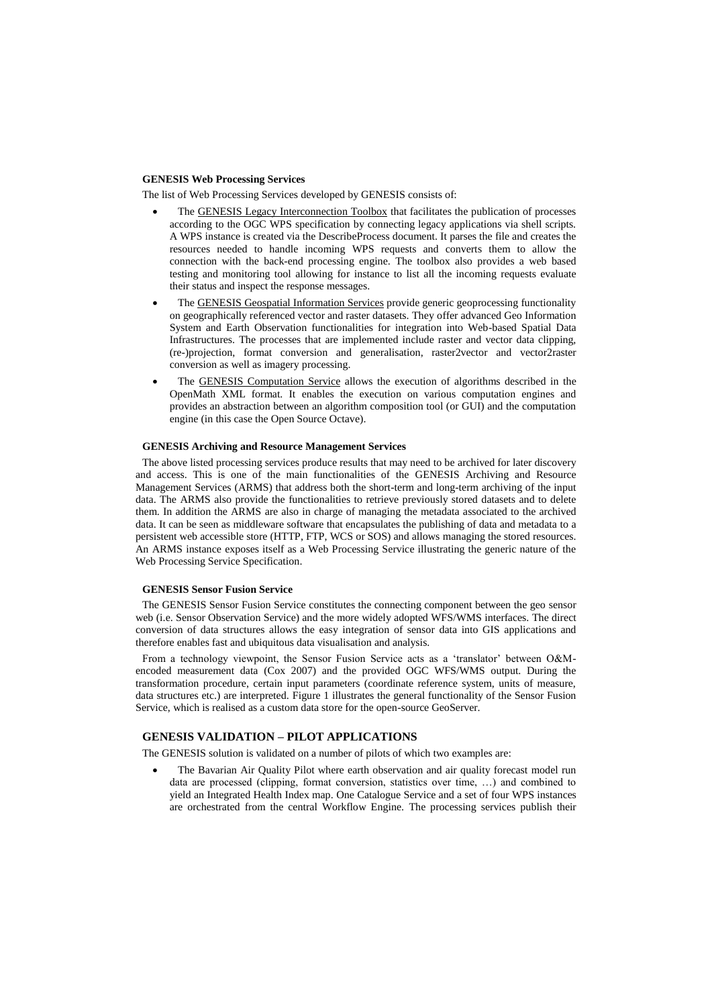## **GENESIS Web Processing Services**

The list of Web Processing Services developed by GENESIS consists of:

- The GENESIS Legacy Interconnection Toolbox that facilitates the publication of processes according to the OGC WPS specification by connecting legacy applications via shell scripts. A WPS instance is created via the DescribeProcess document. It parses the file and creates the resources needed to handle incoming WPS requests and converts them to allow the connection with the back-end processing engine. The toolbox also provides a web based testing and monitoring tool allowing for instance to list all the incoming requests evaluate their status and inspect the response messages.
- The GENESIS Geospatial Information Services provide generic geoprocessing functionality on geographically referenced vector and raster datasets. They offer advanced Geo Information System and Earth Observation functionalities for integration into Web-based Spatial Data Infrastructures. The processes that are implemented include raster and vector data clipping, (re-)projection, format conversion and generalisation, raster2vector and vector2raster conversion as well as imagery processing.
- The GENESIS Computation Service allows the execution of algorithms described in the OpenMath XML format. It enables the execution on various computation engines and provides an abstraction between an algorithm composition tool (or GUI) and the computation engine (in this case the Open Source Octave).

#### **GENESIS Archiving and Resource Management Services**

The above listed processing services produce results that may need to be archived for later discovery and access. This is one of the main functionalities of the GENESIS Archiving and Resource Management Services (ARMS) that address both the short-term and long-term archiving of the input data. The ARMS also provide the functionalities to retrieve previously stored datasets and to delete them. In addition the ARMS are also in charge of managing the metadata associated to the archived data. It can be seen as middleware software that encapsulates the publishing of data and metadata to a persistent web accessible store (HTTP, FTP, WCS or SOS) and allows managing the stored resources. An ARMS instance exposes itself as a Web Processing Service illustrating the generic nature of the Web Processing Service Specification.

#### **GENESIS Sensor Fusion Service**

The GENESIS Sensor Fusion Service constitutes the connecting component between the geo sensor web (i.e. Sensor Observation Service) and the more widely adopted WFS/WMS interfaces. The direct conversion of data structures allows the easy integration of sensor data into GIS applications and therefore enables fast and ubiquitous data visualisation and analysis.

From a technology viewpoint, the Sensor Fusion Service acts as a 'translator' between O&Mencoded measurement data (Cox 2007) and the provided OGC WFS/WMS output. During the transformation procedure, certain input parameters (coordinate reference system, units of measure, data structures etc.) are interpreted. [Figure 1](#page-4-0) illustrates the general functionality of the Sensor Fusion Service, which is realised as a custom data store for the open-source GeoServer.

# **GENESIS VALIDATION – PILOT APPLICATIONS**

The GENESIS solution is validated on a number of pilots of which two examples are:

 The Bavarian Air Quality Pilot where earth observation and air quality forecast model run data are processed (clipping, format conversion, statistics over time, …) and combined to yield an Integrated Health Index map. One Catalogue Service and a set of four WPS instances are orchestrated from the central Workflow Engine. The processing services publish their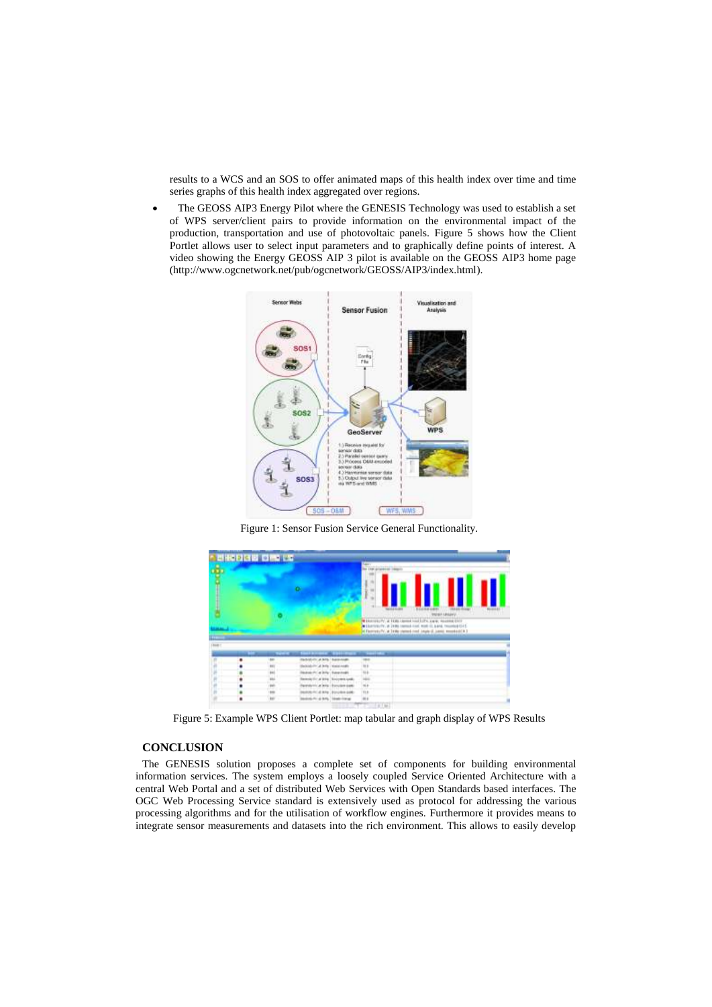results to a WCS and an SOS to offer animated maps of this health index over time and time series graphs of this health index aggregated over regions.

 The GEOSS AIP3 Energy Pilot where the GENESIS Technology was used to establish a set of WPS server/client pairs to provide information on the environmental impact of the production, transportation and use of photovoltaic panels. Figure 5 shows how the Client Portlet allows user to select input parameters and to graphically define points of interest. A video showing the Energy GEOSS AIP 3 pilot is available on the GEOSS AIP3 home page (http://www.ogcnetwork.net/pub/ogcnetwork/GEOSS/AIP3/index.html).



Figure 1: Sensor Fusion Service General Functionality.

<span id="page-4-0"></span>

Figure 5: Example WPS Client Portlet: map tabular and graph display of WPS Results

## **CONCLUSION**

The GENESIS solution proposes a complete set of components for building environmental information services. The system employs a loosely coupled Service Oriented Architecture with a central Web Portal and a set of distributed Web Services with Open Standards based interfaces. The OGC Web Processing Service standard is extensively used as protocol for addressing the various processing algorithms and for the utilisation of workflow engines. Furthermore it provides means to integrate sensor measurements and datasets into the rich environment. This allows to easily develop